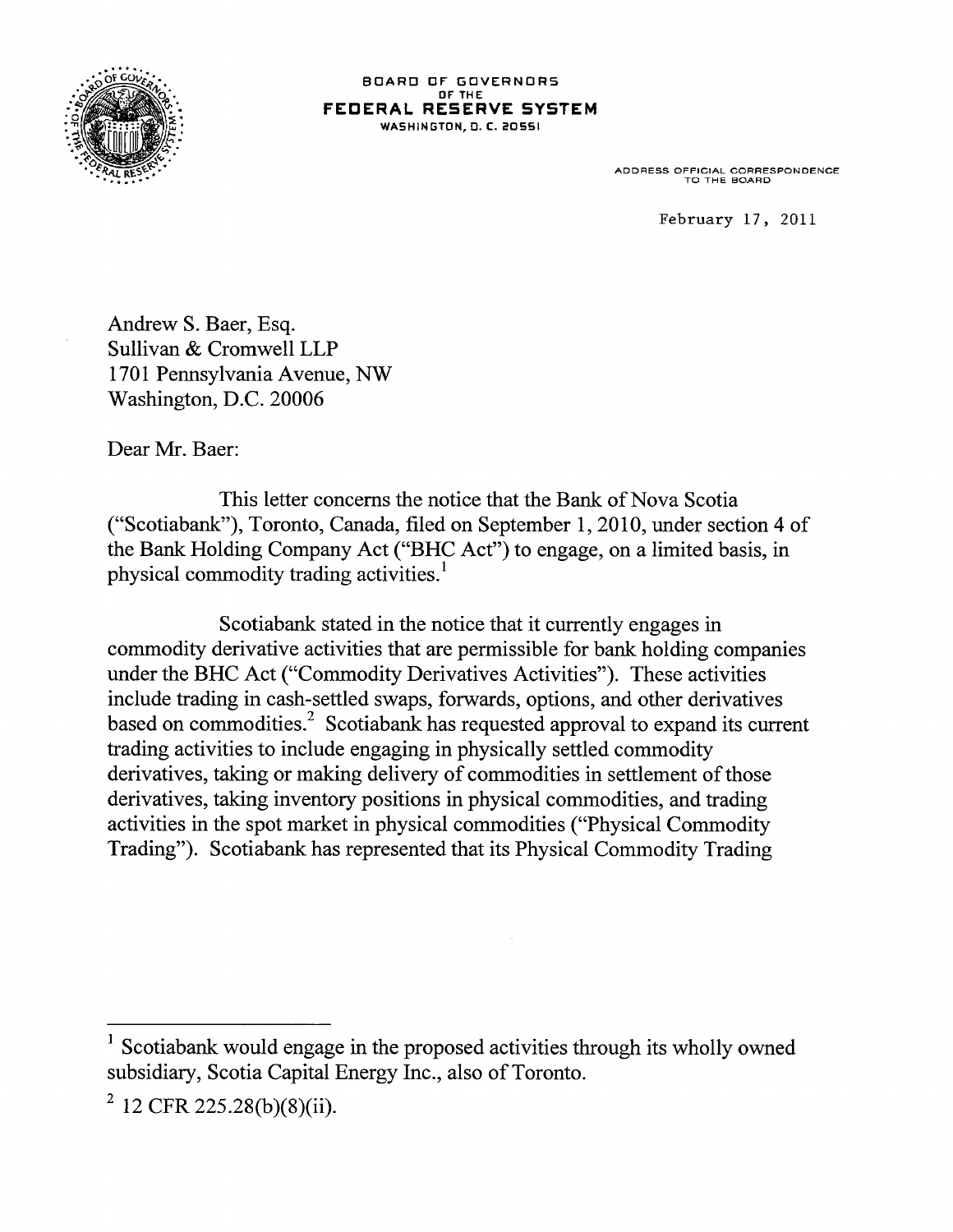

BOARD OF GOVERNORS OF THE FEDERAL RESERVE SYSTEM WASHINGTON, D. C. 20551

ADDRESS OFFICIAL CORRESPONDENCE TO THE BOARD

**February 17, 2011**

Andrew S. Baer, Esq. Sullivan & Cromwell LLP 1701 Pennsylvania Avenue, NW Washington, D.C. 20006

Dear Mr. Baer:

This letter concerns the notice that the Bank of Nova Scotia ("Scotiabank"), Toronto, Canada, filed on September 1, 2010, under section 4 of the Bank Holding Company Act ("BHC Act") to engage, on a limited basis, in physical commodity trading activities.<sup>1</sup>

Scotiabank stated in the notice that it currently engages in commodity derivative activities that are permissible for bank holding companies under the BHC Act ("Commodity Derivatives Activities"). These activities include trading in cash-settled swaps, forwards, options, and other derivatives based on commodities.<sup>2</sup> Scotiabank has requested approval to expand its current trading activities to include engaging in physically settled commodity derivatives, taking or making delivery of commodities in settlement of those derivatives, taking inventory positions in physical commodities, and trading activities in the spot market in physical commodities ("Physical Commodity Trading"). Scotiabank has represented that its Physical Commodity Trading

<sup>&</sup>lt;sup>1</sup> Scotiabank would engage in the proposed activities through its wholly owned subsidiary, Scotia Capital Energy Inc., also of Toronto.

 $2^{2}$  12 CFR 225.28(b)(8)(ii).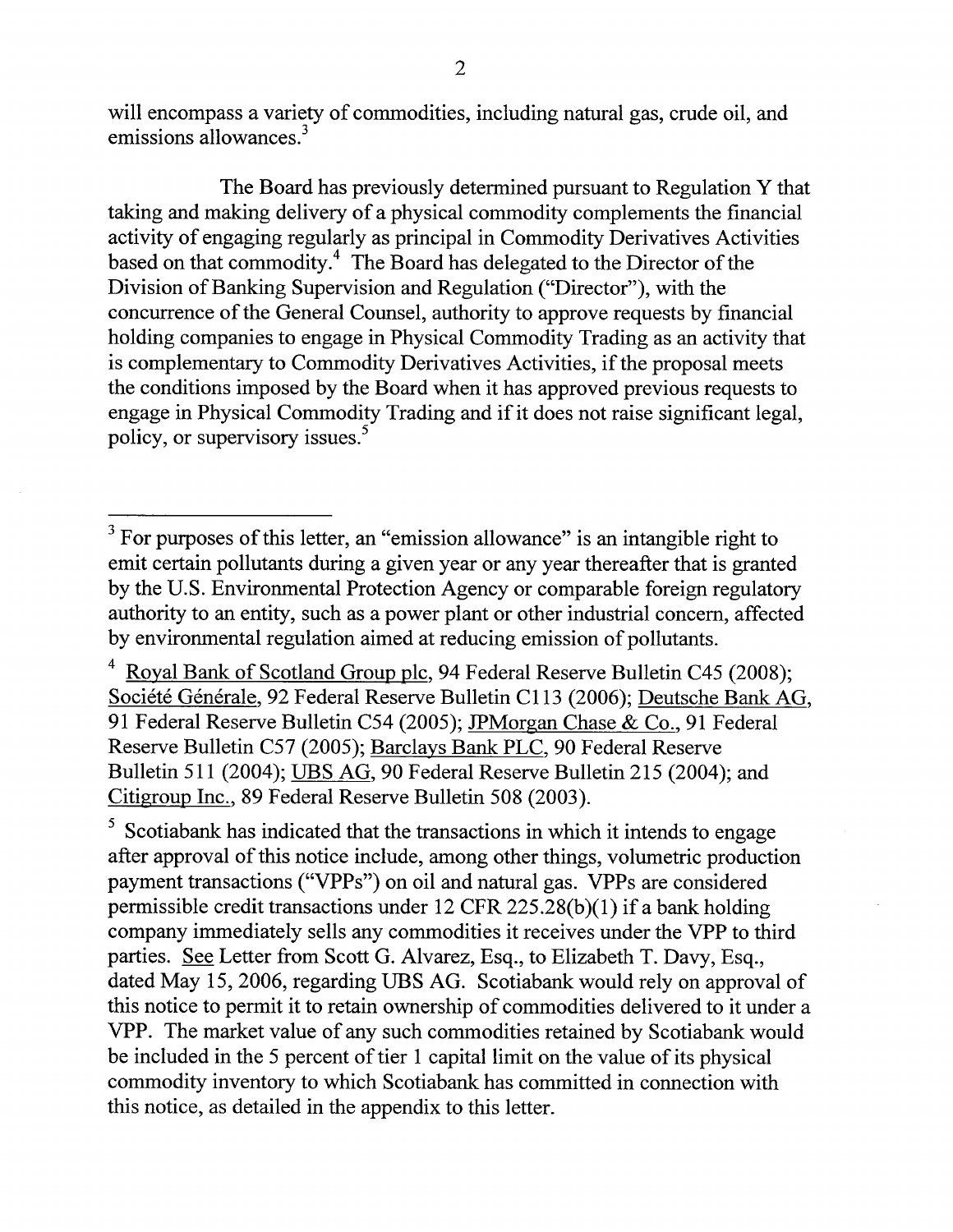will encompass a variety of commodities, including natural gas, crude oil, and emissions allowances.<sup>3</sup>

The Board has previously determined pursuant to Regulation Y that taking and making delivery of a physical commodity complements the financial activity of engaging regularly as principal in Commodity Derivatives Activities based on that commodity.<sup>4</sup> The Board has delegated to the Director of the Division of Banking Supervision and Regulation ("Director"), with the concurrence of the General Counsel, authority to approve requests by financial holding companies to engage in Physical Commodity Trading as an activity that is complementary to Commodity Derivatives Activities, if the proposal meets the conditions imposed by the Board when it has approved previous requests to engage in Physical Commodity Trading and if it does not raise significant legal, policy, or supervisory issues.<sup>5</sup>

5 Scotiabank has indicated that the transactions in which it intends to engage after approval of this notice include, among other things, volumetric production payment transactions ("VPPs") on oil and natural gas. VPPs are considered permissible credit transactions under 12 CFR 225.28(b)(1) if a bank holding company immediately sells any commodities it receives under the VPP to third parties. See Letter from Scott G. Alvarez, Esq., to Elizabeth T. Davy, Esq., dated May 15, 2006, regarding UBS AG. Scotiabank would rely on approval of this notice to permit it to retain ownership of commodities delivered to it under a VPP. The market value of any such commodities retained by Scotiabank would be included in the 5 percent of tier 1 capital limit on the value of its physical commodity inventory to which Scotiabank has committed in connection with this notice, as detailed in the appendix to this letter.

 $3$  For purposes of this letter, an "emission allowance" is an intangible right to emit certain pollutants during a given year or any year thereafter that is granted by the U.S. Environmental Protection Agency or comparable foreign regulatory authority to an entity, such as a power plant or other industrial concern, affected by environmental regulation aimed at reducing emission of pollutants.

<sup>&</sup>lt;sup>4</sup> Royal Bank of Scotland Group plc, 94 Federal Reserve Bulletin C45 (2008); Société Générale, 92 Federal Reserve Bulletin C113 (2006); Deutsche Bank AG, 91 Federal Reserve Bulletin C54 (2005); JPMorgan Chase & Co., 91 Federal Reserve Bulletin C57 (2005); Barclays Bank PLC, 90 Federal Reserve Bulletin 511 (2004); UBS AG, 90 Federal Reserve Bulletin 215 (2004); and Citigroup Inc.. 89 Federal Reserve Bulletin 508 (2003).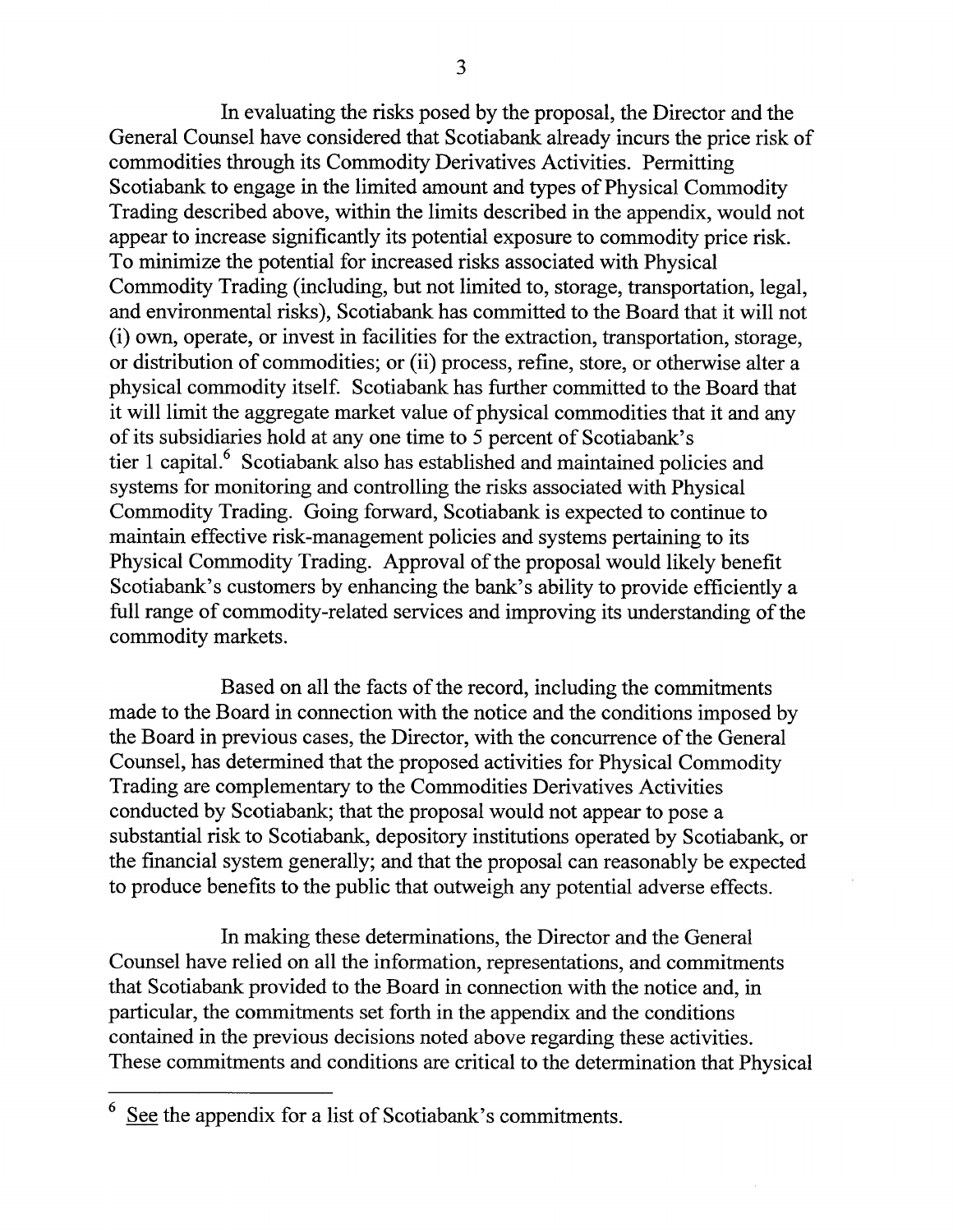In evaluating the risks posed by the proposal, the Director and the General Counsel have considered that Scotiabank already incurs the price risk of commodities through its Commodity Derivatives Activities. Permitting Scotiabank to engage in the limited amount and types of Physical Commodity Trading described above, within the limits described in the appendix, would not appear to increase significantly its potential exposure to commodity price risk. To minimize the potential for increased risks associated with Physical Commodity Trading (including, but not limited to, storage, transportation, legal, and environmental risks), Scotiabank has committed to the Board that it will not (i) own, operate, or invest in facilities for the extraction, transportation, storage, or distribution of commodities; or (ii) process, refine, store, or otherwise alter a physical commodity itself. Scotiabank has further committed to the Board that it will limit the aggregate market value of physical commodities that it and any of its subsidiaries hold at any one time to 5 percent of Scotiabank's tier 1 capital.<sup>6</sup> Scotiabank also has established and maintained policies and systems for monitoring and controlling the risks associated with Physical Commodity Trading. Going forward, Scotiabank is expected to continue to maintain effective risk-management policies and systems pertaining to its Physical Commodity Trading. Approval of the proposal would likely benefit Scotiabank's customers by enhancing the bank's ability to provide efficiently a full range of commodity-related services and improving its understanding of the commodity markets.

Based on all the facts of the record, including the commitments made to the Board in connection with the notice and the conditions imposed by the Board in previous cases, the Director, with the concurrence of the General Counsel, has determined that the proposed activities for Physical Commodity Trading are complementary to the Commodities Derivatives Activities conducted by Scotiabank; that the proposal would not appear to pose a substantial risk to Scotiabank, depository institutions operated by Scotiabank, or the financial system generally; and that the proposal can reasonably be expected to produce benefits to the public that outweigh any potential adverse effects.

In making these determinations, the Director and the General Counsel have relied on all the information, representations, and commitments that Scotiabank provided to the Board in connection with the notice and, in particular, the commitments set forth in the appendix and the conditions contained in the previous decisions noted above regarding these activities. These commitments and conditions are critical to the determination that Physical

<sup>6</sup> See the appendix for a list of Scotiabank's commitments.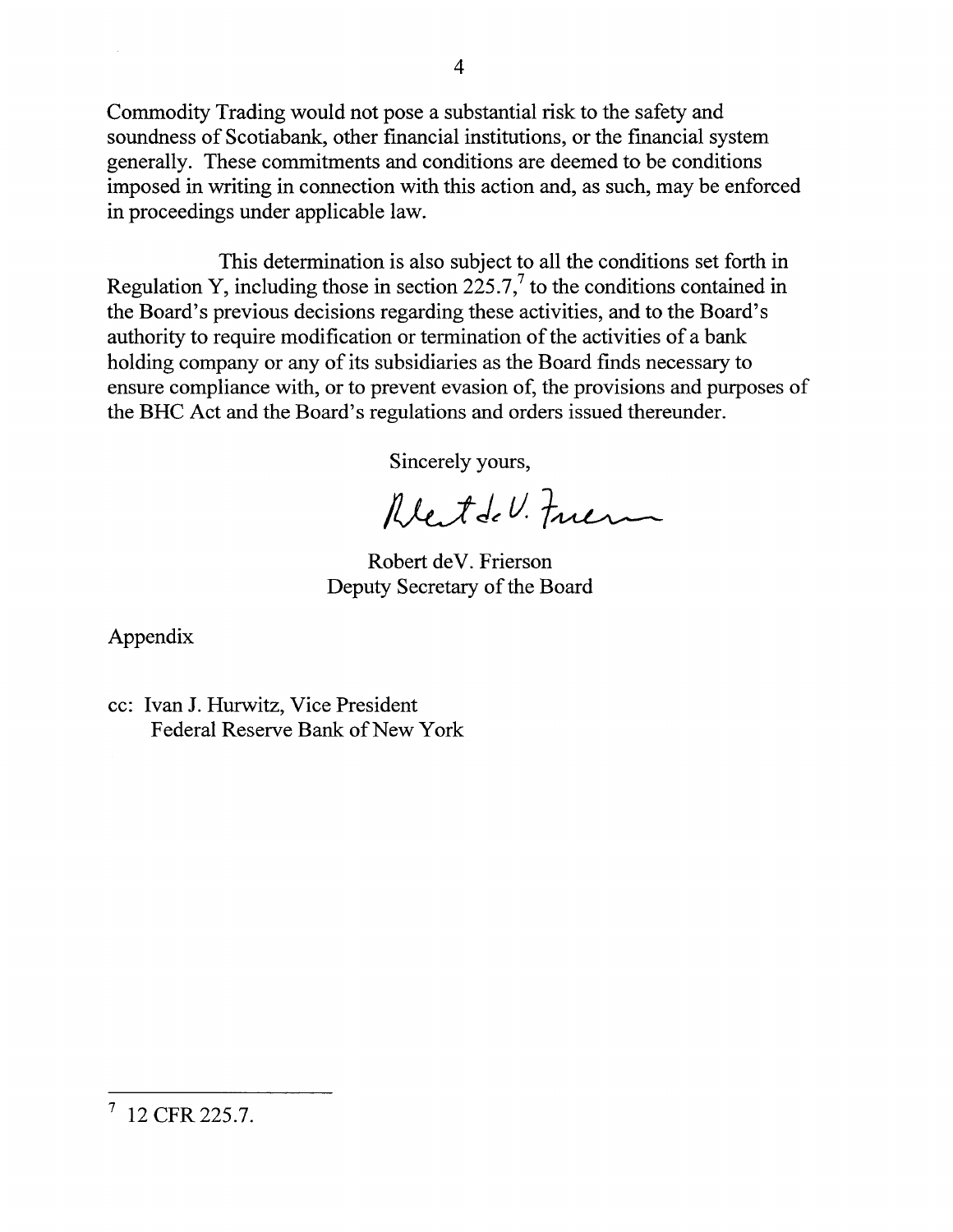Commodity Trading would not pose a substantial risk to the safety and soundness of Scotiabank, other financial institutions, or the financial system generally. These commitments and conditions are deemed to be conditions imposed in writing in connection with this action and, as such, may be enforced in proceedings under applicable law.

This determination is also subject to all the conditions set forth in Regulation Y, including those in section  $225.7$ , to the conditions contained in the Board's previous decisions regarding these activities, and to the Board's authority to require modification or termination of the activities of a bank holding company or any of its subsidiaries as the Board finds necessary to ensure compliance with, or to prevent evasion of, the provisions and purposes of the BHC Act and the Board's regulations and orders issued thereunder.

Sincerely yours,

Rettel. Friem

Robert deV. Frierson Deputy Secretary of the Board

Appendix

cc: Ivan J. Hurwitz, Vice President Federal Reserve Bank of New York

 $^7$  12 CFR 225.7.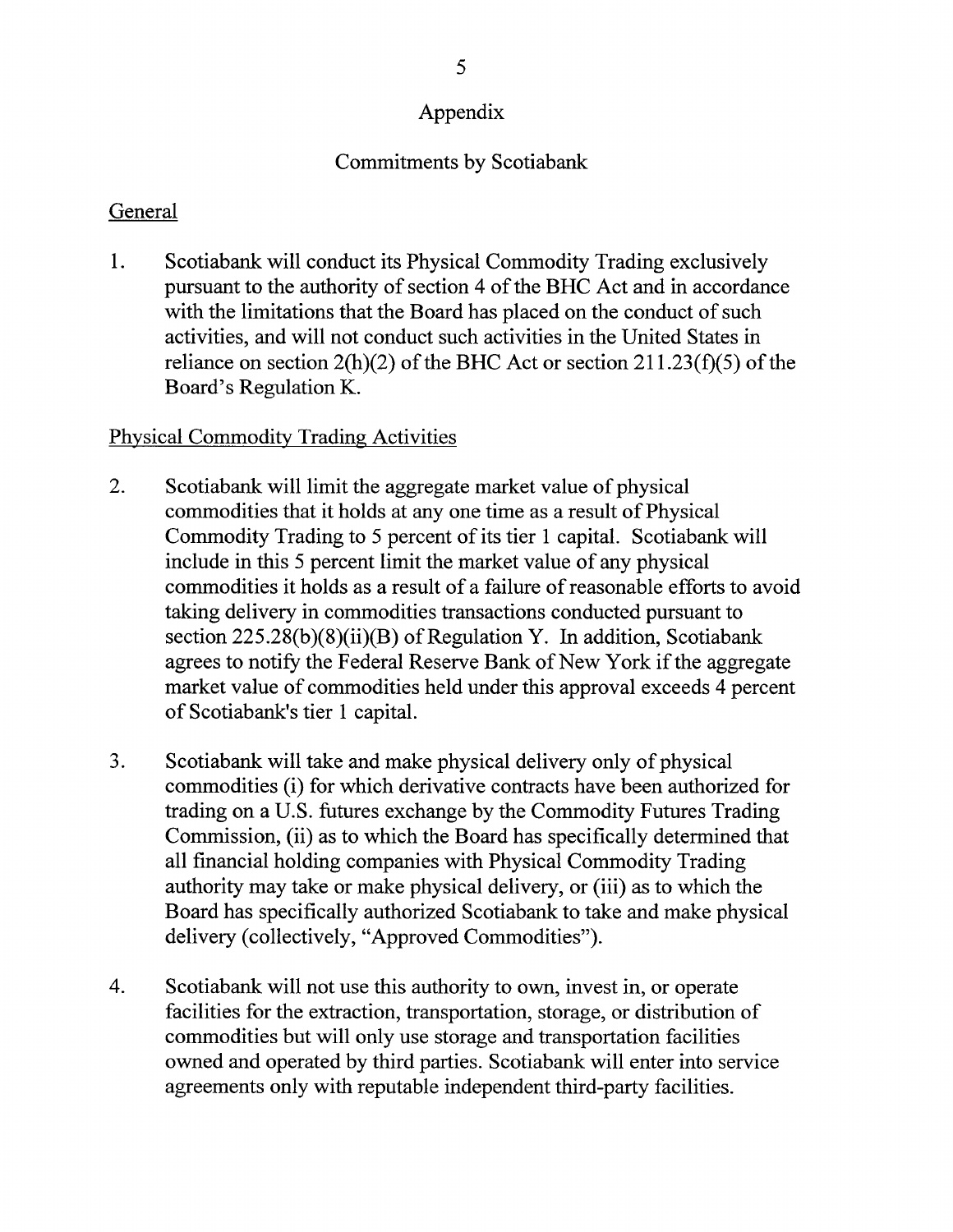# Appendix

## Commitments by Scotiabank

### General

1. Scotiabank will conduct its Physical Commodity Trading exclusively pursuant to the authority of section 4 of the BHC Act and in accordance with the limitations that the Board has placed on the conduct of such activities, and will not conduct such activities in the United States in reliance on section  $2(h)(2)$  of the BHC Act or section  $211.23(f)(5)$  of the Board's Regulation K.

## Physical Commodity Trading Activities

- 2. Scotiabank will limit the aggregate market value of physical commodities that it holds at any one time as a result of Physical Commodity Trading to 5 percent of its tier 1 capital. Scotiabank will include in this 5 percent limit the market value of any physical commodities it holds as a result of a failure of reasonable efforts to avoid taking delivery in commodities transactions conducted pursuant to section 225.28(b)(8)(ii)(B) of Regulation Y. In addition, Scotiabank agrees to notify the Federal Reserve Bank of New York if the aggregate market value of commodities held under this approval exceeds 4 percent of Scotiabank's tier 1 capital.
- 3. Scotiabank will take and make physical delivery only of physical commodities (i) for which derivative contracts have been authorized for trading on a U.S. futures exchange by the Commodity Futures Trading Commission, (ii) as to which the Board has specifically determined that all financial holding companies with Physical Commodity Trading authority may take or make physical delivery, or (iii) as to which the Board has specifically authorized Scotiabank to take and make physical delivery (collectively, "Approved Commodities").
- 4. Scotiabank will not use this authority to own, invest in, or operate facilities for the extraction, transportation, storage, or distribution of commodities but will only use storage and transportation facilities owned and operated by third parties. Scotiabank will enter into service agreements only with reputable independent third-party facilities.